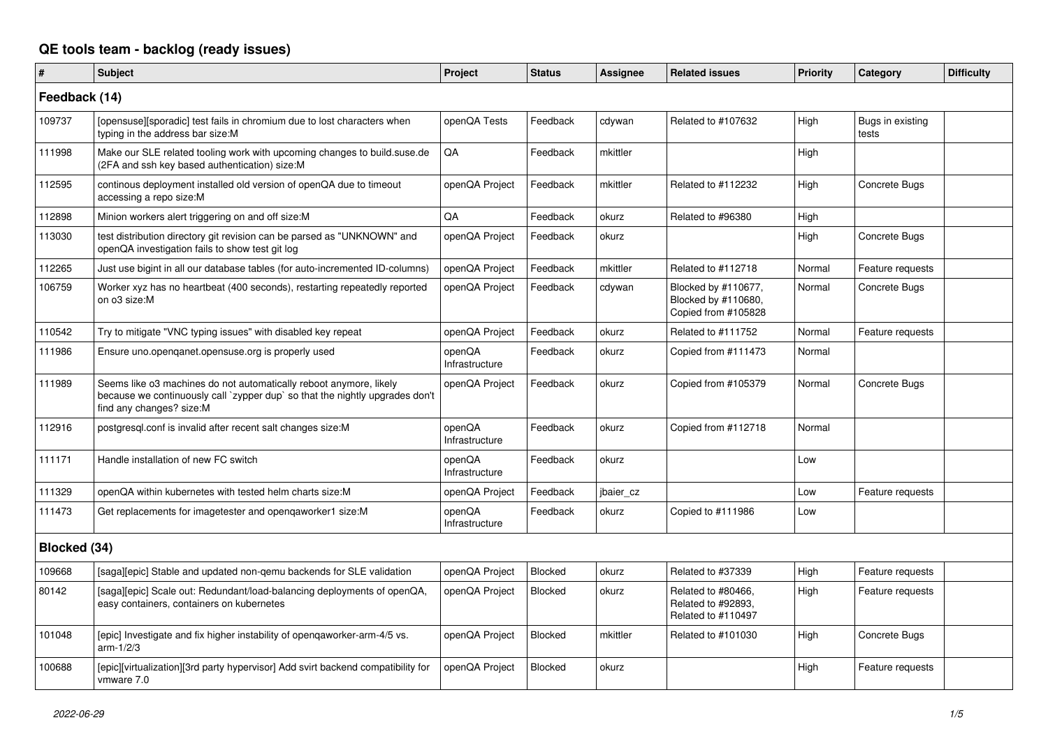## **QE tools team - backlog (ready issues)**

| $\vert$ #     | <b>Subject</b>                                                                                                                                                                 | Project                  | <b>Status</b>  | Assignee  | <b>Related issues</b>                                             | <b>Priority</b> | Category                  | <b>Difficulty</b> |
|---------------|--------------------------------------------------------------------------------------------------------------------------------------------------------------------------------|--------------------------|----------------|-----------|-------------------------------------------------------------------|-----------------|---------------------------|-------------------|
| Feedback (14) |                                                                                                                                                                                |                          |                |           |                                                                   |                 |                           |                   |
| 109737        | [opensuse][sporadic] test fails in chromium due to lost characters when<br>typing in the address bar size:M                                                                    | openQA Tests             | Feedback       | cdywan    | Related to #107632                                                | High            | Bugs in existing<br>tests |                   |
| 111998        | Make our SLE related tooling work with upcoming changes to build.suse.de<br>(2FA and ssh key based authentication) size:M                                                      | QA                       | Feedback       | mkittler  |                                                                   | High            |                           |                   |
| 112595        | continous deployment installed old version of openQA due to timeout<br>accessing a repo size:M                                                                                 | openQA Project           | Feedback       | mkittler  | Related to #112232                                                | High            | Concrete Bugs             |                   |
| 112898        | Minion workers alert triggering on and off size:M                                                                                                                              | QA                       | Feedback       | okurz     | Related to #96380                                                 | High            |                           |                   |
| 113030        | test distribution directory git revision can be parsed as "UNKNOWN" and<br>openQA investigation fails to show test git log                                                     | openQA Project           | Feedback       | okurz     |                                                                   | High            | Concrete Bugs             |                   |
| 112265        | Just use bigint in all our database tables (for auto-incremented ID-columns)                                                                                                   | openQA Project           | Feedback       | mkittler  | Related to #112718                                                | Normal          | Feature requests          |                   |
| 106759        | Worker xyz has no heartbeat (400 seconds), restarting repeatedly reported<br>on o3 size:M                                                                                      | openQA Project           | Feedback       | cdywan    | Blocked by #110677,<br>Blocked by #110680,<br>Copied from #105828 | Normal          | Concrete Bugs             |                   |
| 110542        | Try to mitigate "VNC typing issues" with disabled key repeat                                                                                                                   | openQA Project           | Feedback       | okurz     | Related to #111752                                                | Normal          | Feature requests          |                   |
| 111986        | Ensure uno.openganet.opensuse.org is properly used                                                                                                                             | openQA<br>Infrastructure | Feedback       | okurz     | Copied from #111473                                               | Normal          |                           |                   |
| 111989        | Seems like o3 machines do not automatically reboot anymore, likely<br>because we continuously call `zypper dup` so that the nightly upgrades don't<br>find any changes? size:M | openQA Project           | Feedback       | okurz     | Copied from #105379                                               | Normal          | Concrete Bugs             |                   |
| 112916        | postgresql.conf is invalid after recent salt changes size: M                                                                                                                   | openQA<br>Infrastructure | Feedback       | okurz     | Copied from #112718                                               | Normal          |                           |                   |
| 111171        | Handle installation of new FC switch                                                                                                                                           | openQA<br>Infrastructure | Feedback       | okurz     |                                                                   | Low             |                           |                   |
| 111329        | openQA within kubernetes with tested helm charts size:M                                                                                                                        | openQA Project           | Feedback       | jbaier cz |                                                                   | Low             | Feature requests          |                   |
| 111473        | Get replacements for imagetester and opengaworker1 size:M                                                                                                                      | openQA<br>Infrastructure | Feedback       | okurz     | Copied to #111986                                                 | Low             |                           |                   |
| Blocked (34)  |                                                                                                                                                                                |                          |                |           |                                                                   |                 |                           |                   |
| 109668        | [saga][epic] Stable and updated non-qemu backends for SLE validation                                                                                                           | openQA Project           | Blocked        | okurz     | Related to #37339                                                 | High            | Feature requests          |                   |
| 80142         | [saga][epic] Scale out: Redundant/load-balancing deployments of openQA,<br>easy containers, containers on kubernetes                                                           | openQA Project           | <b>Blocked</b> | okurz     | Related to #80466,<br>Related to #92893,<br>Related to #110497    | High            | Feature requests          |                   |
| 101048        | [epic] Investigate and fix higher instability of opengaworker-arm-4/5 vs.<br>arm-1/2/3                                                                                         | openQA Project           | Blocked        | mkittler  | Related to #101030                                                | High            | Concrete Bugs             |                   |
| 100688        | [epic][virtualization][3rd party hypervisor] Add svirt backend compatibility for<br>vmware 7.0                                                                                 | openQA Project           | Blocked        | okurz     |                                                                   | High            | Feature requests          |                   |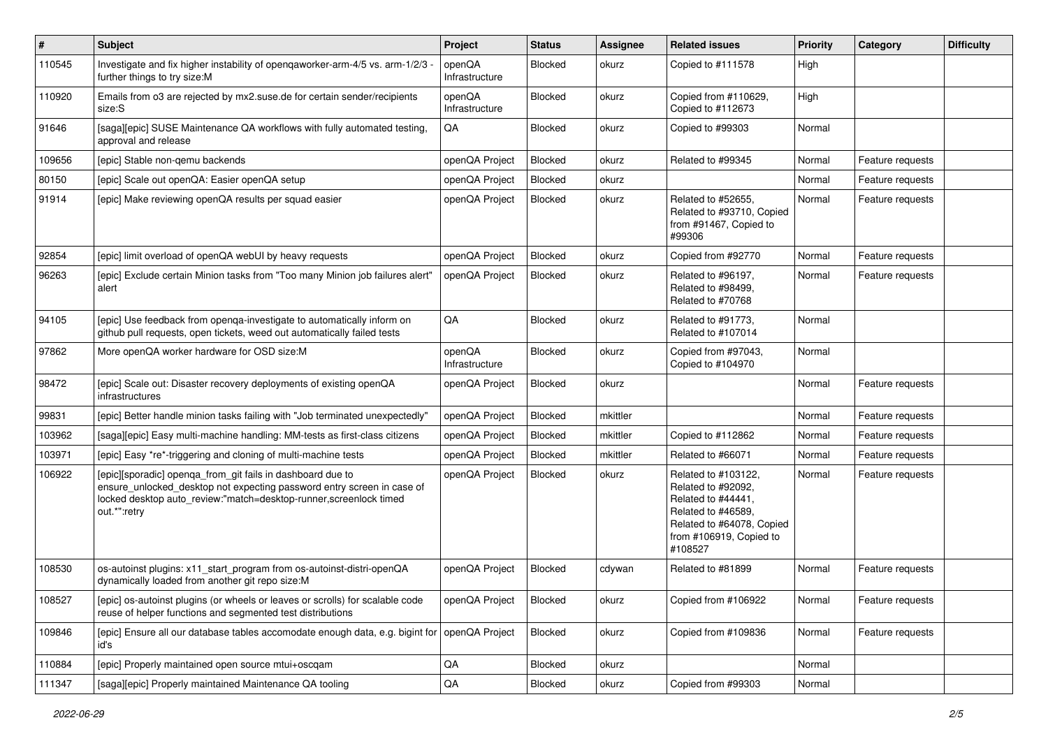| $\vert$ # | Subject                                                                                                                                                                                                                   | Project                  | <b>Status</b>  | <b>Assignee</b> | <b>Related issues</b>                                                                                                                                    | Priority | Category         | <b>Difficulty</b> |
|-----------|---------------------------------------------------------------------------------------------------------------------------------------------------------------------------------------------------------------------------|--------------------------|----------------|-----------------|----------------------------------------------------------------------------------------------------------------------------------------------------------|----------|------------------|-------------------|
| 110545    | Investigate and fix higher instability of openqaworker-arm-4/5 vs. arm-1/2/3<br>further things to try size:M                                                                                                              | openQA<br>Infrastructure | Blocked        | okurz           | Copied to #111578                                                                                                                                        | High     |                  |                   |
| 110920    | Emails from o3 are rejected by mx2.suse.de for certain sender/recipients<br>size:S                                                                                                                                        | openQA<br>Infrastructure | Blocked        | okurz           | Copied from #110629,<br>Copied to #112673                                                                                                                | High     |                  |                   |
| 91646     | [saga][epic] SUSE Maintenance QA workflows with fully automated testing<br>approval and release                                                                                                                           | QA                       | Blocked        | okurz           | Copied to #99303                                                                                                                                         | Normal   |                  |                   |
| 109656    | [epic] Stable non-gemu backends                                                                                                                                                                                           | openQA Project           | Blocked        | okurz           | Related to #99345                                                                                                                                        | Normal   | Feature requests |                   |
| 80150     | [epic] Scale out openQA: Easier openQA setup                                                                                                                                                                              | openQA Project           | Blocked        | okurz           |                                                                                                                                                          | Normal   | Feature requests |                   |
| 91914     | [epic] Make reviewing openQA results per squad easier                                                                                                                                                                     | openQA Project           | Blocked        | okurz           | Related to #52655,<br>Related to #93710, Copied<br>from #91467, Copied to<br>#99306                                                                      | Normal   | Feature requests |                   |
| 92854     | [epic] limit overload of openQA webUI by heavy requests                                                                                                                                                                   | openQA Project           | Blocked        | okurz           | Copied from #92770                                                                                                                                       | Normal   | Feature requests |                   |
| 96263     | [epic] Exclude certain Minion tasks from "Too many Minion job failures alert"<br>alert                                                                                                                                    | openQA Project           | Blocked        | okurz           | Related to #96197.<br>Related to #98499,<br>Related to #70768                                                                                            | Normal   | Feature requests |                   |
| 94105     | [epic] Use feedback from openqa-investigate to automatically inform on<br>github pull requests, open tickets, weed out automatically failed tests                                                                         | QA                       | Blocked        | okurz           | Related to #91773,<br>Related to #107014                                                                                                                 | Normal   |                  |                   |
| 97862     | More openQA worker hardware for OSD size:M                                                                                                                                                                                | openQA<br>Infrastructure | Blocked        | okurz           | Copied from #97043,<br>Copied to #104970                                                                                                                 | Normal   |                  |                   |
| 98472     | [epic] Scale out: Disaster recovery deployments of existing openQA<br>infrastructures                                                                                                                                     | openQA Project           | Blocked        | okurz           |                                                                                                                                                          | Normal   | Feature requests |                   |
| 99831     | [epic] Better handle minion tasks failing with "Job terminated unexpectedly"                                                                                                                                              | openQA Project           | Blocked        | mkittler        |                                                                                                                                                          | Normal   | Feature requests |                   |
| 103962    | [saga][epic] Easy multi-machine handling: MM-tests as first-class citizens                                                                                                                                                | openQA Project           | Blocked        | mkittler        | Copied to #112862                                                                                                                                        | Normal   | Feature requests |                   |
| 103971    | [epic] Easy *re*-triggering and cloning of multi-machine tests                                                                                                                                                            | openQA Project           | <b>Blocked</b> | mkittler        | Related to #66071                                                                                                                                        | Normal   | Feature requests |                   |
| 106922    | [epic][sporadic] openqa_from_git fails in dashboard due to<br>ensure_unlocked_desktop not expecting password entry screen in case of<br>locked desktop auto_review:"match=desktop-runner,screenlock timed<br>out.*":retry | openQA Project           | Blocked        | okurz           | Related to #103122,<br>Related to #92092,<br>Related to #44441,<br>Related to #46589,<br>Related to #64078, Copied<br>from #106919, Copied to<br>#108527 | Normal   | Feature requests |                   |
| 108530    | os-autoinst plugins: x11_start_program from os-autoinst-distri-openQA<br>dynamically loaded from another git repo size:M                                                                                                  | openQA Project           | <b>Blocked</b> | cdywan          | Related to #81899                                                                                                                                        | Normal   | Feature requests |                   |
| 108527    | [epic] os-autoinst plugins (or wheels or leaves or scrolls) for scalable code<br>reuse of helper functions and segmented test distributions                                                                               | openQA Project           | Blocked        | okurz           | Copied from #106922                                                                                                                                      | Normal   | Feature requests |                   |
| 109846    | [epic] Ensure all our database tables accomodate enough data, e.g. bigint for openQA Project<br>id's                                                                                                                      |                          | Blocked        | okurz           | Copied from #109836                                                                                                                                      | Normal   | Feature requests |                   |
| 110884    | [epic] Properly maintained open source mtui+oscgam                                                                                                                                                                        | QA                       | Blocked        | okurz           |                                                                                                                                                          | Normal   |                  |                   |
| 111347    | [saga][epic] Properly maintained Maintenance QA tooling                                                                                                                                                                   | $\sf QA$                 | Blocked        | okurz           | Copied from #99303                                                                                                                                       | Normal   |                  |                   |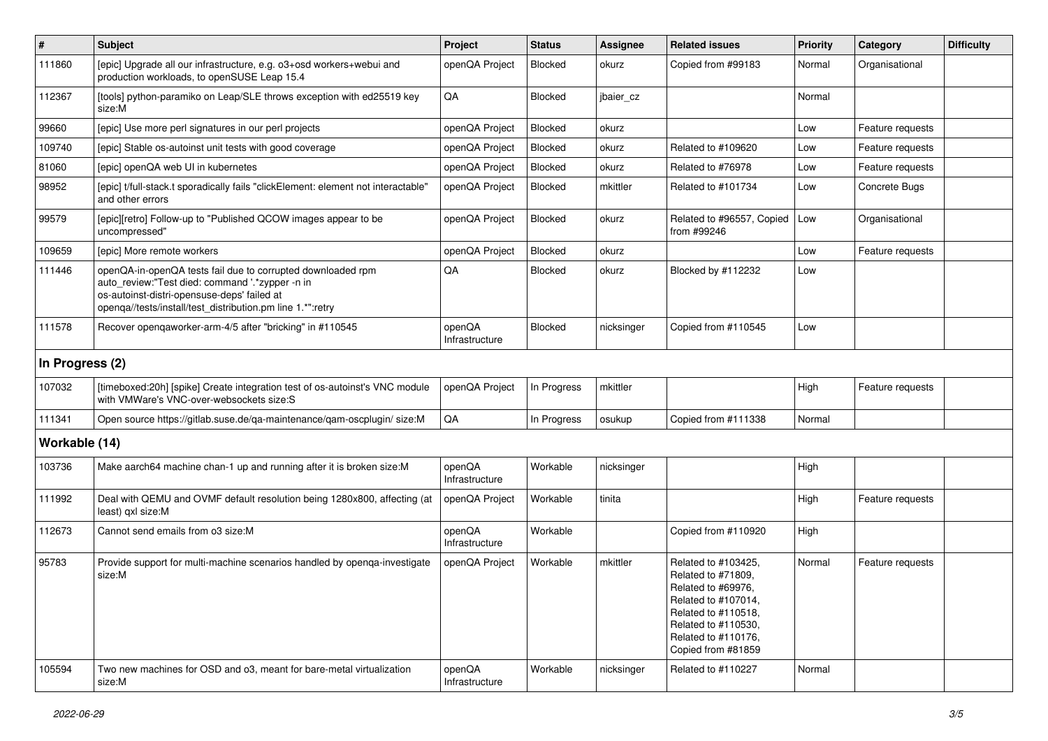| $\sharp$        | Subject                                                                                                                                                                                                                     | Project                  | <b>Status</b> | <b>Assignee</b> | <b>Related issues</b>                                                                                                                                                             | Priority | Category         | <b>Difficulty</b> |
|-----------------|-----------------------------------------------------------------------------------------------------------------------------------------------------------------------------------------------------------------------------|--------------------------|---------------|-----------------|-----------------------------------------------------------------------------------------------------------------------------------------------------------------------------------|----------|------------------|-------------------|
| 111860          | [epic] Upgrade all our infrastructure, e.g. o3+osd workers+webui and<br>production workloads, to openSUSE Leap 15.4                                                                                                         | openQA Project           | Blocked       | okurz           | Copied from #99183                                                                                                                                                                | Normal   | Organisational   |                   |
| 112367          | [tools] python-paramiko on Leap/SLE throws exception with ed25519 key<br>size:M                                                                                                                                             | QA                       | Blocked       | jbaier_cz       |                                                                                                                                                                                   | Normal   |                  |                   |
| 99660           | [epic] Use more perl signatures in our perl projects                                                                                                                                                                        | openQA Project           | Blocked       | okurz           |                                                                                                                                                                                   | Low      | Feature requests |                   |
| 109740          | [epic] Stable os-autoinst unit tests with good coverage                                                                                                                                                                     | openQA Project           | Blocked       | okurz           | Related to #109620                                                                                                                                                                | Low      | Feature requests |                   |
| 81060           | [epic] openQA web UI in kubernetes                                                                                                                                                                                          | openQA Project           | Blocked       | okurz           | Related to #76978                                                                                                                                                                 | Low      | Feature requests |                   |
| 98952           | [epic] t/full-stack.t sporadically fails "clickElement: element not interactable'<br>and other errors                                                                                                                       | openQA Project           | Blocked       | mkittler        | Related to #101734                                                                                                                                                                | Low      | Concrete Bugs    |                   |
| 99579           | [epic][retro] Follow-up to "Published QCOW images appear to be<br>uncompressed"                                                                                                                                             | openQA Project           | Blocked       | okurz           | Related to #96557, Copied<br>from #99246                                                                                                                                          | Low      | Organisational   |                   |
| 109659          | [epic] More remote workers                                                                                                                                                                                                  | openQA Project           | Blocked       | okurz           |                                                                                                                                                                                   | Low      | Feature requests |                   |
| 111446          | openQA-in-openQA tests fail due to corrupted downloaded rpm<br>auto review:"Test died: command '.*zypper -n in<br>os-autoinst-distri-opensuse-deps' failed at<br>openqa//tests/install/test_distribution.pm line 1.*":retry | QA                       | Blocked       | okurz           | Blocked by #112232                                                                                                                                                                | Low      |                  |                   |
| 111578          | Recover opengaworker-arm-4/5 after "bricking" in #110545                                                                                                                                                                    | openQA<br>Infrastructure | Blocked       | nicksinger      | Copied from #110545                                                                                                                                                               | Low      |                  |                   |
| In Progress (2) |                                                                                                                                                                                                                             |                          |               |                 |                                                                                                                                                                                   |          |                  |                   |
| 107032          | [timeboxed:20h] [spike] Create integration test of os-autoinst's VNC module<br>with VMWare's VNC-over-websockets size:S                                                                                                     | openQA Project           | In Progress   | mkittler        |                                                                                                                                                                                   | High     | Feature requests |                   |
| 111341          | Open source https://gitlab.suse.de/qa-maintenance/qam-oscplugin/ size:M                                                                                                                                                     | QA                       | In Progress   | osukup          | Copied from #111338                                                                                                                                                               | Normal   |                  |                   |
| Workable (14)   |                                                                                                                                                                                                                             |                          |               |                 |                                                                                                                                                                                   |          |                  |                   |
| 103736          | Make aarch64 machine chan-1 up and running after it is broken size:M                                                                                                                                                        | openQA<br>Infrastructure | Workable      | nicksinger      |                                                                                                                                                                                   | High     |                  |                   |
| 111992          | Deal with QEMU and OVMF default resolution being 1280x800, affecting (at<br>least) qxl size:M                                                                                                                               | openQA Project           | Workable      | tinita          |                                                                                                                                                                                   | High     | Feature requests |                   |
| 112673          | Cannot send emails from o3 size:M                                                                                                                                                                                           | openQA<br>Infrastructure | Workable      |                 | Copied from #110920                                                                                                                                                               | High     |                  |                   |
| 95783           | Provide support for multi-machine scenarios handled by openga-investigate<br>size:M                                                                                                                                         | openQA Project           | Workable      | mkittler        | Related to #103425.<br>Related to #71809,<br>Related to #69976,<br>Related to #107014,<br>Related to #110518.<br>Related to #110530,<br>Related to #110176,<br>Copied from #81859 | Normal   | Feature requests |                   |
| 105594          | Two new machines for OSD and o3, meant for bare-metal virtualization<br>size:M                                                                                                                                              | openQA<br>Infrastructure | Workable      | nicksinger      | Related to #110227                                                                                                                                                                | Normal   |                  |                   |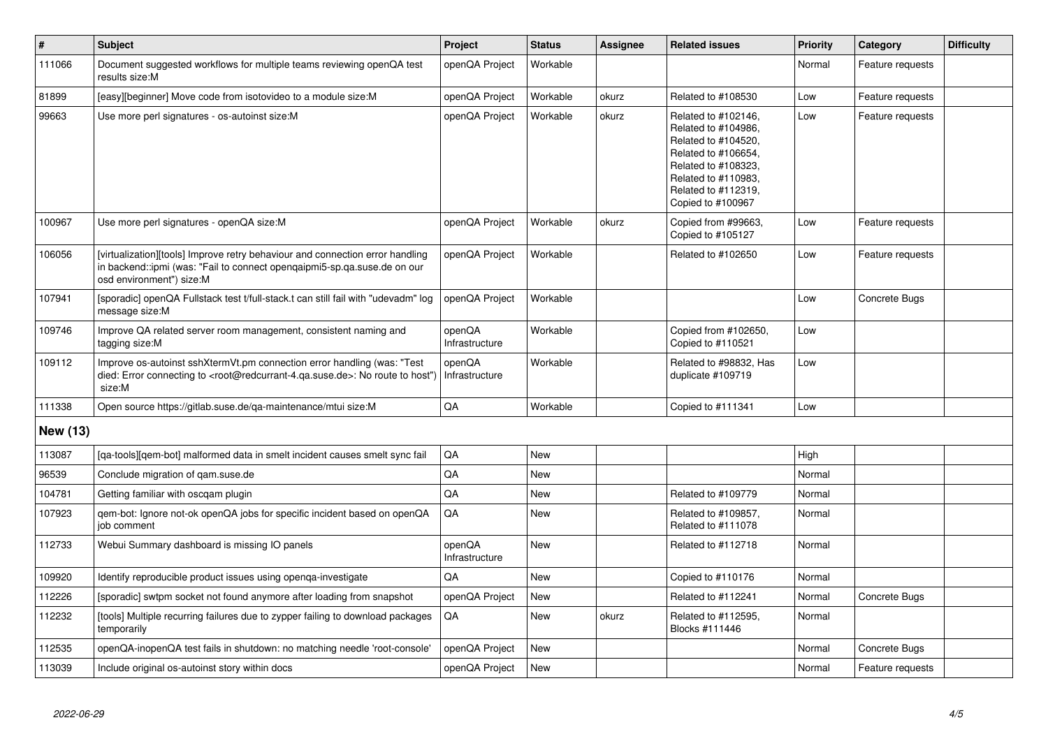| $\overline{\boldsymbol{H}}$ | <b>Subject</b>                                                                                                                                                                                    | <b>Project</b>           | <b>Status</b> | Assignee | <b>Related issues</b>                                                                                                                                                              | Priority | Category         | <b>Difficulty</b> |
|-----------------------------|---------------------------------------------------------------------------------------------------------------------------------------------------------------------------------------------------|--------------------------|---------------|----------|------------------------------------------------------------------------------------------------------------------------------------------------------------------------------------|----------|------------------|-------------------|
| 111066                      | Document suggested workflows for multiple teams reviewing openQA test<br>results size:M                                                                                                           | openQA Project           | Workable      |          |                                                                                                                                                                                    | Normal   | Feature requests |                   |
| 81899                       | [easy][beginner] Move code from isotovideo to a module size:M                                                                                                                                     | openQA Project           | Workable      | okurz    | Related to #108530                                                                                                                                                                 | Low      | Feature requests |                   |
| 99663                       | Use more perl signatures - os-autoinst size:M                                                                                                                                                     | openQA Project           | Workable      | okurz    | Related to #102146,<br>Related to #104986,<br>Related to #104520,<br>Related to #106654,<br>Related to #108323,<br>Related to #110983,<br>Related to #112319,<br>Copied to #100967 | Low      | Feature requests |                   |
| 100967                      | Use more perl signatures - openQA size:M                                                                                                                                                          | openQA Project           | Workable      | okurz    | Copied from #99663,<br>Copied to #105127                                                                                                                                           | Low      | Feature requests |                   |
| 106056                      | [virtualization][tools] Improve retry behaviour and connection error handling<br>in backend::ipmi (was: "Fail to connect opengaipmi5-sp.ga.suse.de on our<br>osd environment") size:M             | openQA Project           | Workable      |          | Related to #102650                                                                                                                                                                 | Low      | Feature requests |                   |
| 107941                      | [sporadic] openQA Fullstack test t/full-stack.t can still fail with "udevadm" log<br>message size:M                                                                                               | openQA Project           | Workable      |          |                                                                                                                                                                                    | Low      | Concrete Bugs    |                   |
| 109746                      | Improve QA related server room management, consistent naming and<br>tagging size:M                                                                                                                | openQA<br>Infrastructure | Workable      |          | Copied from #102650,<br>Copied to #110521                                                                                                                                          | Low      |                  |                   |
| 109112                      | Improve os-autoinst sshXtermVt.pm connection error handling (was: "Test<br>died: Error connecting to <root@redcurrant-4.qa.suse.de>: No route to host")<br/>size:M</root@redcurrant-4.qa.suse.de> | openQA<br>Infrastructure | Workable      |          | Related to #98832, Has<br>duplicate #109719                                                                                                                                        | Low      |                  |                   |
| 111338                      | Open source https://gitlab.suse.de/qa-maintenance/mtui size:M                                                                                                                                     | QA                       | Workable      |          | Copied to #111341                                                                                                                                                                  | Low      |                  |                   |
| <b>New (13)</b>             |                                                                                                                                                                                                   |                          |               |          |                                                                                                                                                                                    |          |                  |                   |
| 113087                      | [ga-tools][gem-bot] malformed data in smelt incident causes smelt sync fail                                                                                                                       | QA                       | <b>New</b>    |          |                                                                                                                                                                                    | High     |                  |                   |
| 96539                       | Conclude migration of gam.suse.de                                                                                                                                                                 | QA                       | <b>New</b>    |          |                                                                                                                                                                                    | Normal   |                  |                   |
| 104781                      | Getting familiar with oscqam plugin                                                                                                                                                               | QA                       | <b>New</b>    |          | Related to #109779                                                                                                                                                                 | Normal   |                  |                   |
| 107923                      | gem-bot: Ignore not-ok openQA jobs for specific incident based on openQA<br>job comment                                                                                                           | QA                       | <b>New</b>    |          | Related to #109857,<br>Related to #111078                                                                                                                                          | Normal   |                  |                   |
| 112733                      | Webui Summary dashboard is missing IO panels                                                                                                                                                      | openQA<br>Infrastructure | <b>New</b>    |          | Related to #112718                                                                                                                                                                 | Normal   |                  |                   |
| 109920                      | Identify reproducible product issues using openga-investigate                                                                                                                                     | QA                       | <b>New</b>    |          | Copied to #110176                                                                                                                                                                  | Normal   |                  |                   |
| 112226                      | [sporadic] swtpm socket not found anymore after loading from snapshot                                                                                                                             | openQA Project           | <b>New</b>    |          | Related to #112241                                                                                                                                                                 | Normal   | Concrete Bugs    |                   |
| 112232                      | [tools] Multiple recurring failures due to zypper failing to download packages<br>temporarily                                                                                                     | QA                       | New           | okurz    | Related to #112595,<br>Blocks #111446                                                                                                                                              | Normal   |                  |                   |
| 112535                      | openQA-inopenQA test fails in shutdown: no matching needle 'root-console'                                                                                                                         | openQA Project           | <b>New</b>    |          |                                                                                                                                                                                    | Normal   | Concrete Bugs    |                   |
| 113039                      | Include original os-autoinst story within docs                                                                                                                                                    | openQA Project           | <b>New</b>    |          |                                                                                                                                                                                    | Normal   | Feature requests |                   |